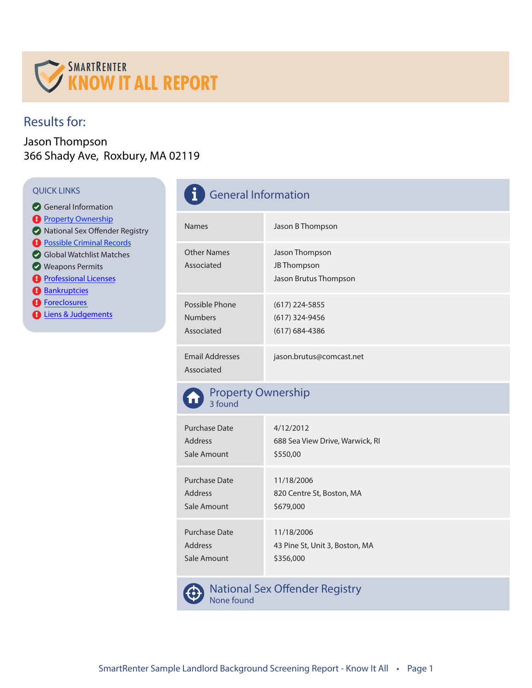

## Results for:

#### Jason Thompson 366 Shady Ave, Roxbury, MA 02119

- General Information
- **Property Ownership**
- **National Sex Offender Registry**
- **Possible Criminal Records**
- Global Watchlist Matches
- Weapons Permits
- **Professional Licenses**
- **Bankruptcies**
- **B** Foreclosures
- **D** Liens & Judgements

| <b>QUICK LINKS</b><br>General Information<br><b>A</b> Property Ownership<br>National Sex Offender Registry<br><b>A</b> Possible Criminal Records<br>Global Watchlist Matches<br><b>Weapons Permits</b><br><b>A</b> Professional Licenses<br><b>A</b> Bankruptcies<br><b>A</b> Foreclosures<br><b>D</b> Liens & Judgements | <b>General Information</b>                     |                                                          |  |
|---------------------------------------------------------------------------------------------------------------------------------------------------------------------------------------------------------------------------------------------------------------------------------------------------------------------------|------------------------------------------------|----------------------------------------------------------|--|
|                                                                                                                                                                                                                                                                                                                           | <b>Names</b>                                   | Jason B Thompson                                         |  |
|                                                                                                                                                                                                                                                                                                                           | <b>Other Names</b><br>Associated               | Jason Thompson<br>JB Thompson<br>Jason Brutus Thompson   |  |
|                                                                                                                                                                                                                                                                                                                           | Possible Phone<br><b>Numbers</b><br>Associated | $(617)$ 224-5855<br>$(617)$ 324-9456<br>$(617)$ 684-4386 |  |
|                                                                                                                                                                                                                                                                                                                           | <b>Email Addresses</b><br>Associated           | jason.brutus@comcast.net                                 |  |



| Purchase Date | 4/12/2012                       |
|---------------|---------------------------------|
| Address       | 688 Sea View Drive, Warwick, RI |
| Sale Amount   | \$550,00                        |
| Purchase Date | 11/18/2006                      |
| Address       | 820 Centre St, Boston, MA       |
| Sale Amount   | \$679,000                       |
| Purchase Date | 11/18/2006                      |
| Address       | 43 Pine St, Unit 3, Boston, MA  |
| Sale Amount   | \$356,000                       |



National Sex Offender Registry None found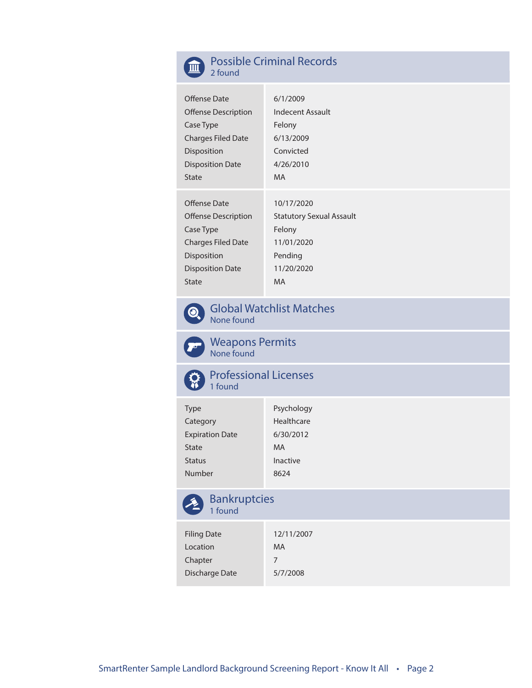

#### Possible Criminal Records 2 found

| Offense Date               | 6/1/2009                        |
|----------------------------|---------------------------------|
| <b>Offense Description</b> | Indecent Assault                |
| Case Type                  | Felony                          |
| <b>Charges Filed Date</b>  | 6/13/2009                       |
| <b>Disposition</b>         | Convicted                       |
| <b>Disposition Date</b>    | 4/26/2010                       |
| <b>State</b>               | MA.                             |
|                            |                                 |
| Offense Date               | 10/17/2020                      |
| <b>Offense Description</b> | <b>Statutory Sexual Assault</b> |
| Case Type                  | Felony                          |
| <b>Charges Filed Date</b>  | 11/01/2020                      |
| <b>Disposition</b>         | Pending                         |
|                            |                                 |
| <b>Disposition Date</b>    | 11/20/2020                      |



Global Watchlist Matches None found



Weapons Permits None found



Professional Licenses

| Type                   | Psychology |
|------------------------|------------|
| Category               | Healthcare |
| <b>Expiration Date</b> | 6/30/2012  |
| State                  | MA         |
| Status                 | Inactive   |
| Number                 | 8624       |
|                        |            |



# Bankruptcies

| <b>Filing Date</b> | 12/11/2007 |
|--------------------|------------|
| Location           | MA         |
| Chapter            | 7          |
| Discharge Date     | 5/7/2008   |